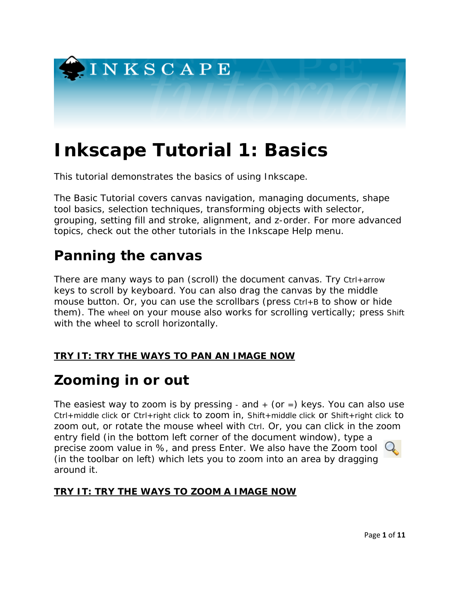

# **Inkscape Tutorial 1: Basics**

This tutorial demonstrates the basics of using Inkscape.

The Basic Tutorial covers canvas navigation, managing documents, shape tool basics, selection techniques, transforming objects with selector, grouping, setting fill and stroke, alignment, and z-order. For more advanced topics, check out the other tutorials in the Inkscape Help menu.

## **Panning the canvas**

There are many ways to pan (scroll) the document canvas. Try Ctrl+arrow keys to scroll by keyboard. You can also drag the canvas by the middle mouse button. Or, you can use the scrollbars (press Ctrl+B to show or hide them). The wheel on your mouse also works for scrolling vertically; press Shift with the wheel to scroll horizontally.

## **TRY IT: TRY THE WAYS TO PAN AN IMAGE NOW**

## **Zooming in or out**

The easiest way to zoom is by pressing - and  $+$  (or  $=$ ) keys. You can also use Ctrl+middle click or Ctrl+right click to zoom in, Shift+middle click or Shift+right click to zoom out, or rotate the mouse wheel with Ctrl. Or, you can click in the zoom entry field (in the bottom left corner of the document window), type a precise zoom value in %, and press Enter. We also have the Zoom tool (in the toolbar on left) which lets you to zoom into an area by dragging around it.

## **TRY IT: TRY THE WAYS TO ZOOM A IMAGE NOW**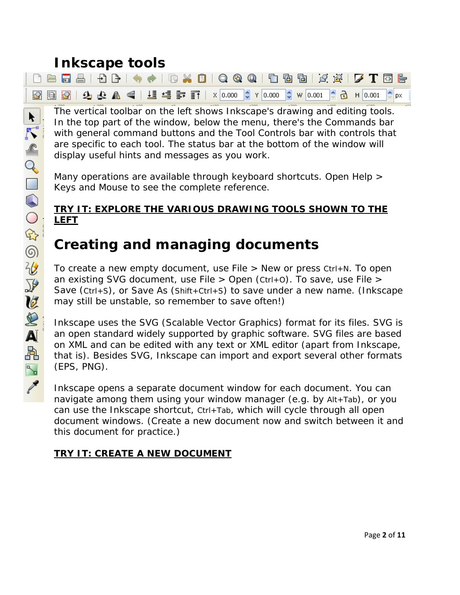## **Inkscape tools**

| $ \hspace{0.1cm} \hspace{0.1cm} \hspace{0.1cm} \hspace{0.1cm} \hspace{0.1cm} \hspace{0.1cm} \hspace{0.1cm} \hspace{0.1cm} \hspace{0.1cm} \hspace{0.1cm} \hspace{0.1cm} \hspace{0.1cm} \hspace{0.1cm} \hspace{0.1cm} \hspace{0.1cm} \hspace{0.1cm} \hspace{0.1cm} \hspace{0.1cm} \hspace{0.1cm} \hspace{0.1cm} \hspace{0.1cm} \hspace{0.1cm} \hspace{0.1cm} \hspace{0.1cm} \hspace{$ |  |  |  |
|-------------------------------------------------------------------------------------------------------------------------------------------------------------------------------------------------------------------------------------------------------------------------------------------------------------------------------------------------------------------------------------|--|--|--|
| 図圓圓 9 B B   9 B A   日目 言 h   x 0.000 C Y 0.000 C W 0.001 C B H 0.001 C px                                                                                                                                                                                                                                                                                                           |  |  |  |

The vertical toolbar on the left shows Inkscape's drawing and editing tools. In the top part of the window, below the menu, there's the Commands bar with general command buttons and the Tool Controls bar with controls that are specific to each tool. The status bar at the bottom of the window will display useful hints and messages as you work.

Many operations are available through keyboard shortcuts. Open Help > Keys and Mouse to see the complete reference.

## **TRY IT: EXPLORE THE VARIOUS DRAWING TOOLS SHOWN TO THE LEFT**

## **Creating and managing documents**

To create a new empty document, use File > New or press Ctrl+N. To open an existing SVG document, use File  $>$  Open (Ctrl+0). To save, use File  $>$ Save (Ctrl+S), or Save As (Shift+Ctrl+S) to save under a new name. (Inkscape may still be unstable, so remember to save often!)

Inkscape uses the SVG (Scalable Vector Graphics) format for its files. SVG is an open standard widely supported by graphic software. SVG files are based on XML and can be edited with any text or XML editor (apart from Inkscape, that is). Besides SVG, Inkscape can import and export several other formats (EPS, PNG).

Inkscape opens a separate document window for each document. You can navigate among them using your window manager (e.g. by Alt+Tab), or you can use the Inkscape shortcut, Ctrl+Tab, which will cycle through all open document windows. (Create a new document now and switch between it and this document for practice.)

## **TRY IT: CREATE A NEW DOCUMENT**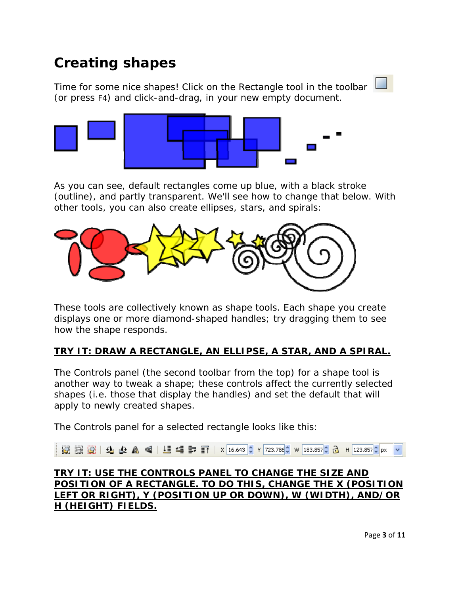## **Creating shapes**

Time for some nice shapes! Click on the Rectangle tool in the toolbar (or press F4) and click-and-drag, in your new empty document.



As you can see, default rectangles come up blue, with a black stroke (outline), and partly transparent. We'll see how to change that below. With other tools, you can also create ellipses, stars, and spirals:



These tools are collectively known as shape tools. Each shape you create displays one or more diamond-shaped handles; try dragging them to see how the shape responds.

## **TRY IT: DRAW A RECTANGLE, AN ELLIPSE, A STAR, AND A SPIRAL.**

The Controls panel (the second toolbar from the top) for a shape tool is another way to tweak a shape; these controls affect the currently selected shapes (i.e. those that display the handles) *and* set the default that will apply to newly created shapes.

The Controls panel for a selected rectangle looks like this:

図圓図 9 4 4 4 ■ 4 1 3 1 × 16.643 ↓ Y 723.78€ W 183.857↓ ∂ H 123.857↓px

### **TRY IT: USE THE CONTROLS PANEL TO CHANGE THE SIZE AND POSITION OF A RECTANGLE. TO DO THIS, CHANGE THE X (POSITION LEFT OR RIGHT), Y (POSITION UP OR DOWN), W (WIDTH), AND/OR H (HEIGHT) FIELDS.**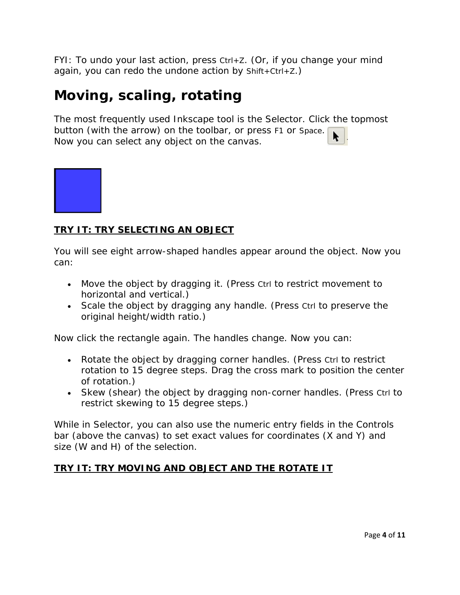FYI: To undo your last action, press Ctrl+Z. (Or, if you change your mind again, you can redo the undone action by  $Shift +Ctrl + Z$ .)

## **Moving, scaling, rotating**

The most frequently used Inkscape tool is the Selector. Click the topmost button (with the arrow) on the toolbar, or press F1 or Space. Now you can select any object on the canvas.



## **TRY IT: TRY SELECTING AN OBJECT**

You will see eight arrow-shaped handles appear around the object. Now you can:

- Move the object by dragging it. (Press Ctrl to restrict movement to horizontal and vertical.)
- Scale the object by dragging any handle. (Press Ctrl to preserve the original height/width ratio.)

Now click the rectangle again. The handles change. Now you can:

- Rotate the object by dragging corner handles. (Press Ctrl to restrict rotation to 15 degree steps. Drag the cross mark to position the center of rotation.)
- Skew (shear) the object by dragging non-corner handles. (Press Ctrl to restrict skewing to 15 degree steps.)

While in Selector, you can also use the numeric entry fields in the Controls bar (above the canvas) to set exact values for coordinates (X and Y) and size (W and H) of the selection.

## **TRY IT: TRY MOVING AND OBJECT AND THE ROTATE IT**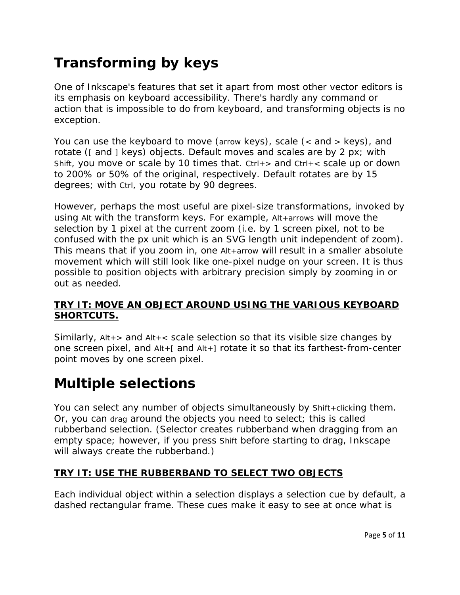## **Transforming by keys**

One of Inkscape's features that set it apart from most other vector editors is its emphasis on keyboard accessibility. There's hardly any command or action that is impossible to do from keyboard, and transforming objects is no exception.

You can use the keyboard to move (arrow keys), scale (< and > keys), and rotate ([ and ] keys) objects. Default moves and scales are by 2 px; with Shift, you move or scale by 10 times that.  $Ctrl + >$  and  $Ctrl + <$  scale up or down to 200% or 50% of the original, respectively. Default rotates are by 15 degrees; with Ctrl, you rotate by 90 degrees.

However, perhaps the most useful are pixel-size transformations, invoked by using Alt with the transform keys. For example, Alt+arrows will move the selection by 1 pixel *at the current zoom* (i.e. by 1 screen pixel, not to be confused with the px unit which is an SVG length unit independent of zoom). This means that if you zoom in, one Alt+arrow will result in a *smaller* absolute movement which will still look like one-pixel nudge on your screen. It is thus possible to position objects with arbitrary precision simply by zooming in or out as needed.

## **TRY IT: MOVE AN OBJECT AROUND USING THE VARIOUS KEYBOARD SHORTCUTS.**

Similarly, Alt+> and Alt+< scale selection so that its visible size changes by one screen pixel, and Alt+[ and Alt+] rotate it so that its farthest-from-center point moves by one screen pixel.

## **Multiple selections**

You can select any number of objects simultaneously by Shift+clicking them. Or, you can drag around the objects you need to select; this is called rubberband selection. (Selector creates rubberband when dragging from an empty space; however, if you press Shift before starting to drag, Inkscape will always create the rubberband.)

## **TRY IT: USE THE RUBBERBAND TO SELECT TWO OBJECTS**

Each individual object within a selection displays a selection cue by default, a dashed rectangular frame. These cues make it easy to see at once what is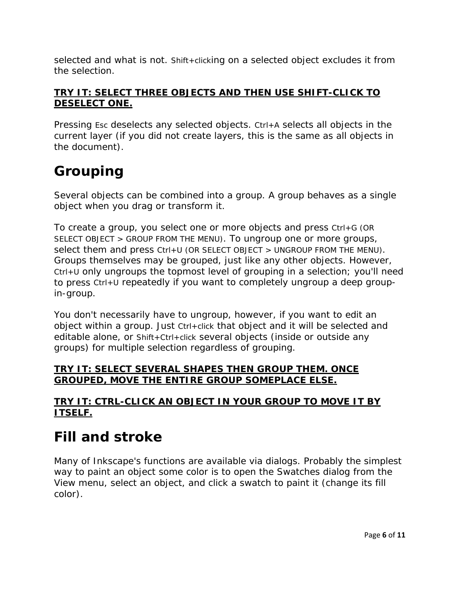selected and what is not. Shift+clicking on a selected object excludes it from the selection.

## **TRY IT: SELECT THREE OBJECTS AND THEN USE SHIFT-CLICK TO DESELECT ONE.**

Pressing Esc deselects any selected objects. Ctrl+A selects all objects in the current layer (if you did not create layers, this is the same as all objects in the document).

## **Grouping**

Several objects can be combined into a group. A group behaves as a single object when you drag or transform it.

To create a group, you select one or more objects and press Ctrl+G (OR SELECT OBJECT > GROUP FROM THE MENU). To ungroup one or more groups, select them and press Ctrl+U (OR SELECT OBJECT > UNGROUP FROM THE MENU). Groups themselves may be grouped, just like any other objects. However, Ctrl+U only ungroups the topmost level of grouping in a selection; you'll need to press Ctrl+U repeatedly if you want to completely ungroup a deep groupin-group.

You don't necessarily have to ungroup, however, if you want to edit an object within a group. Just Ctrl+click that object and it will be selected and editable alone, or Shift+Ctrl+click several objects (inside or outside any groups) for multiple selection regardless of grouping.

## **TRY IT: SELECT SEVERAL SHAPES THEN GROUP THEM. ONCE GROUPED, MOVE THE ENTIRE GROUP SOMEPLACE ELSE.**

## **TRY IT: CTRL-CLICK AN OBJECT IN YOUR GROUP TO MOVE IT BY ITSELF.**

## **Fill and stroke**

Many of Inkscape's functions are available via dialogs. Probably the simplest way to paint an object some color is to open the Swatches dialog from the View menu, select an object, and click a swatch to paint it (change its fill color).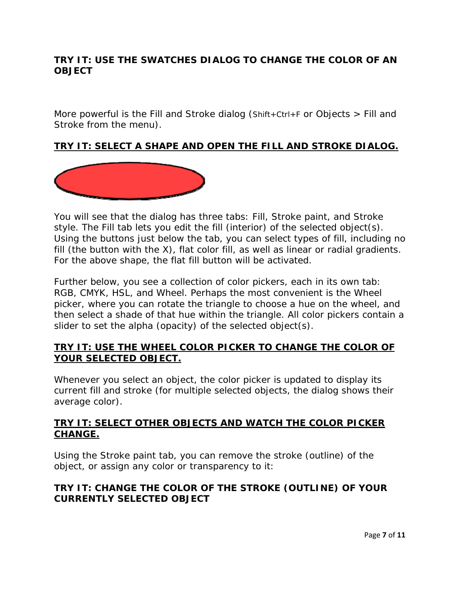### **TRY IT: USE THE SWATCHES DIALOG TO CHANGE THE COLOR OF AN OBJECT**

More powerful is the Fill and Stroke dialog (Shift+Ctrl+F or Objects  $>$  Fill and Stroke from the menu).

### **TRY IT: SELECT A SHAPE AND OPEN THE FILL AND STROKE DIALOG.**



You will see that the dialog has three tabs: Fill, Stroke paint, and Stroke style. The Fill tab lets you edit the fill (interior) of the selected object(s). Using the buttons just below the tab, you can select types of fill, including no fill (the button with the X), flat color fill, as well as linear or radial gradients. For the above shape, the flat fill button will be activated.

Further below, you see a collection of color pickers, each in its own tab: RGB, CMYK, HSL, and Wheel. Perhaps the most convenient is the Wheel picker, where you can rotate the triangle to choose a hue on the wheel, and then select a shade of that hue within the triangle. All color pickers contain a slider to set the alpha (opacity) of the selected object(s).

#### **TRY IT: USE THE WHEEL COLOR PICKER TO CHANGE THE COLOR OF YOUR SELECTED OBJECT.**

Whenever you select an object, the color picker is updated to display its current fill and stroke (for multiple selected objects, the dialog shows their *average* color).

### **TRY IT: SELECT OTHER OBJECTS AND WATCH THE COLOR PICKER CHANGE.**

Using the Stroke paint tab, you can remove the stroke (outline) of the object, or assign any color or transparency to it:

### **TRY IT: CHANGE THE COLOR OF THE STROKE (OUTLINE) OF YOUR CURRENTLY SELECTED OBJECT**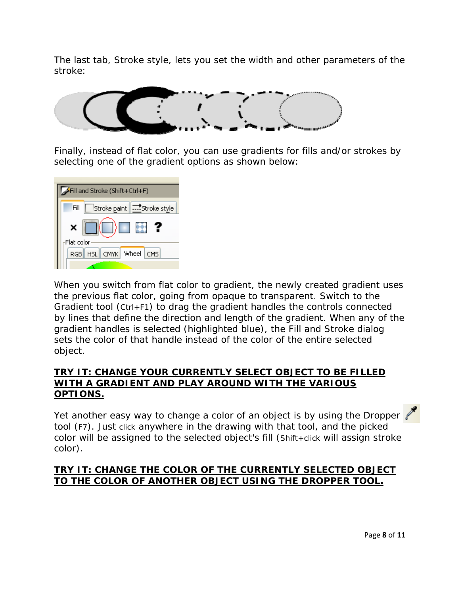The last tab, Stroke style, lets you set the width and other parameters of the stroke:



Finally, instead of flat color, you can use gradients for fills and/or strokes by selecting one of the gradient options as shown below:

| Fill and Stroke (Shift+Ctrl+F)                       |  |  |  |  |
|------------------------------------------------------|--|--|--|--|
| Fill<br>   <del></del> *Stroke style<br>Stroke paint |  |  |  |  |
| <br>×                                                |  |  |  |  |
| Flat color                                           |  |  |  |  |
| CMYK Wheel<br><b>HSL</b><br>CMS<br><b>RGB</b>        |  |  |  |  |
|                                                      |  |  |  |  |

When you switch from flat color to gradient, the newly created gradient uses the previous flat color, going from opaque to transparent. Switch to the Gradient tool (Ctrl+F1) to drag the gradient handles the controls connected by lines that define the direction and length of the gradient. When any of the gradient handles is selected (highlighted blue), the Fill and Stroke dialog sets the color of that handle instead of the color of the entire selected object.

#### **TRY IT: CHANGE YOUR CURRENTLY SELECT OBJECT TO BE FILLED WITH A GRADIENT AND PLAY AROUND WITH THE VARIOUS OPTIONS.**

Yet another easy way to change a color of an object is by using the Dropper tool (F7). Just click anywhere in the drawing with that tool, and the picked color will be assigned to the selected object's fill (Shift+click will assign stroke color).

### **TRY IT: CHANGE THE COLOR OF THE CURRENTLY SELECTED OBJECT TO THE COLOR OF ANOTHER OBJECT USING THE DROPPER TOOL.**

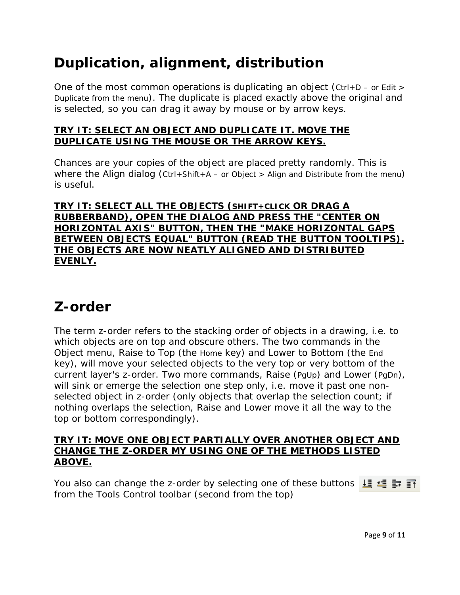## **Duplication, alignment, distribution**

One of the most common operations is duplicating an object (Ctrl+D – or Edit > Duplicate from the menu). The duplicate is placed exactly above the original and is selected, so you can drag it away by mouse or by arrow keys.

### **TRY IT: SELECT AN OBJECT AND DUPLICATE IT. MOVE THE DUPLICATE USING THE MOUSE OR THE ARROW KEYS.**

Chances are your copies of the object are placed pretty randomly. This is where the Align dialog (Ctrl+Shift+A – or Object > Align and Distribute from the menu) is useful.

**TRY IT: SELECT ALL THE OBJECTS (SHIFT+CLICK OR DRAG A RUBBERBAND), OPEN THE DIALOG AND PRESS THE "CENTER ON HORIZONTAL AXIS" BUTTON, THEN THE "MAKE HORIZONTAL GAPS BETWEEN OBJECTS EQUAL" BUTTON (READ THE BUTTON TOOLTIPS). THE OBJECTS ARE NOW NEATLY ALIGNED AND DISTRIBUTED EVENLY.** 

## **Z-order**

The term z-order refers to the stacking order of objects in a drawing, i.e. to which objects are on top and obscure others. The two commands in the Object menu, Raise to Top (the Home key) and Lower to Bottom (the End key), will move your selected objects to the very top or very bottom of the current layer's z-order. Two more commands, Raise (PgUp) and Lower (PgDn), will sink or emerge the selection *one step only*, i.e. move it past one nonselected object in z-order (only objects that overlap the selection count; if nothing overlaps the selection, Raise and Lower move it all the way to the top or bottom correspondingly).

#### **TRY IT: MOVE ONE OBJECT PARTIALLY OVER ANOTHER OBJECT AND CHANGE THE Z-ORDER MY USING ONE OF THE METHODS LISTED ABOVE.**

You also can change the z-order by selecting one of these buttons  $\mathbf{E} \leq \mathbf{F}$ from the Tools Control toolbar (second from the top)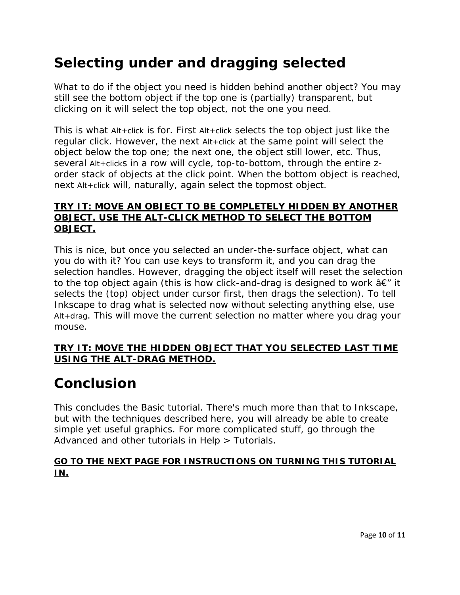## **Selecting under and dragging selected**

What to do if the object you need is hidden behind another object? You may still see the bottom object if the top one is (partially) transparent, but clicking on it will select the top object, not the one you need.

This is what Alt+click is for. First Alt+click selects the top object just like the regular click. However, the next Alt+click at the same point will select the object *below* the top one; the next one, the object still lower, etc. Thus, several Alt+clicks in a row will cycle, top-to-bottom, through the entire zorder stack of objects at the click point. When the bottom object is reached, next Alt+click will, naturally, again select the topmost object.

### **TRY IT: MOVE AN OBJECT TO BE COMPLETELY HIDDEN BY ANOTHER OBJECT. USE THE ALT-CLICK METHOD TO SELECT THE BOTTOM OBJECT.**

This is nice, but once you selected an under-the-surface object, what can you do with it? You can use keys to transform it, and you can drag the selection handles. However, dragging the object itself will reset the selection to the top object again (this is how click-and-drag is designed to work  $\hat{a}\in\mathcal{F}$  it selects the (top) object under cursor first, then drags the selection). To tell Inkscape to drag *what is selected now* without selecting anything else, use Alt+drag. This will move the current selection no matter where you drag your mouse.

### **TRY IT: MOVE THE HIDDEN OBJECT THAT YOU SELECTED LAST TIME USING THE ALT-DRAG METHOD.**

## **Conclusion**

This concludes the Basic tutorial. There's much more than that to Inkscape, but with the techniques described here, you will already be able to create simple yet useful graphics. For more complicated stuff, go through the Advanced and other tutorials in Help > Tutorials.

### **GO TO THE NEXT PAGE FOR INSTRUCTIONS ON TURNING THIS TUTORIAL IN.**